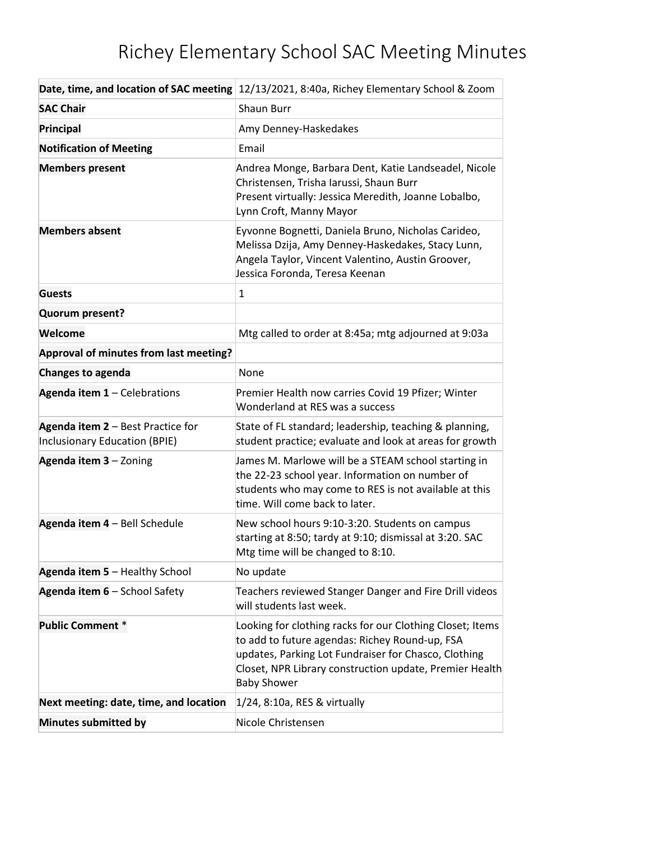## Richey Elementary School SAC Meeting Minutes

|                                                                    | Date, time, and location of SAC meeting 12/13/2021, 8:40a, Richey Elementary School & Zoom                                                                                                                                                           |
|--------------------------------------------------------------------|------------------------------------------------------------------------------------------------------------------------------------------------------------------------------------------------------------------------------------------------------|
| <b>SAC Chair</b>                                                   | <b>Shaun Burr</b>                                                                                                                                                                                                                                    |
| Principal                                                          | Amy Denney-Haskedakes                                                                                                                                                                                                                                |
| <b>Notification of Meeting</b>                                     | Email                                                                                                                                                                                                                                                |
| <b>Members present</b>                                             | Andrea Monge, Barbara Dent, Katie Landseadel, Nicole<br>Christensen, Trisha Iarussi, Shaun Burr<br>Present virtually: Jessica Meredith, Joanne Lobalbo,<br>Lynn Croft, Manny Mayor                                                                   |
| <b>Members absent</b>                                              | Eyvonne Bognetti, Daniela Bruno, Nicholas Carideo,<br>Melissa Dzija, Amy Denney-Haskedakes, Stacy Lunn,<br>Angela Taylor, Vincent Valentino, Austin Groover,<br>Jessica Foronda, Teresa Keenan                                                       |
| <b>Guests</b>                                                      | $\mathbf{1}$                                                                                                                                                                                                                                         |
| Quorum present?                                                    |                                                                                                                                                                                                                                                      |
| Welcome                                                            | Mtg called to order at 8:45a; mtg adjourned at 9:03a                                                                                                                                                                                                 |
| Approval of minutes from last meeting?                             |                                                                                                                                                                                                                                                      |
| <b>Changes to agenda</b>                                           | None                                                                                                                                                                                                                                                 |
| Agenda item 1 - Celebrations                                       | Premier Health now carries Covid 19 Pfizer; Winter<br>Wonderland at RES was a success                                                                                                                                                                |
| Agenda item 2 - Best Practice for<br>Inclusionary Education (BPIE) | State of FL standard; leadership, teaching & planning,<br>student practice; evaluate and look at areas for growth                                                                                                                                    |
| Agenda item 3 - Zoning                                             | James M. Marlowe will be a STEAM school starting in<br>the 22-23 school year. Information on number of<br>students who may come to RES is not available at this<br>time. Will come back to later.                                                    |
| Agenda item 4 - Bell Schedule                                      | New school hours 9:10-3:20. Students on campus<br>starting at 8:50; tardy at 9:10; dismissal at 3:20. SAC<br>Mtg time will be changed to 8:10.                                                                                                       |
| Agenda item 5 - Healthy School                                     | No update                                                                                                                                                                                                                                            |
| Agenda item 6 - School Safety                                      | Teachers reviewed Stanger Danger and Fire Drill videos<br>will students last week.                                                                                                                                                                   |
| <b>Public Comment *</b>                                            | Looking for clothing racks for our Clothing Closet; Items<br>to add to future agendas: Richey Round-up, FSA<br>updates, Parking Lot Fundraiser for Chasco, Clothing<br>Closet, NPR Library construction update, Premier Health<br><b>Baby Shower</b> |
| Next meeting: date, time, and location                             | $1/24$ , 8:10a, RES & virtually                                                                                                                                                                                                                      |
| <b>Minutes submitted by</b>                                        | Nicole Christensen                                                                                                                                                                                                                                   |